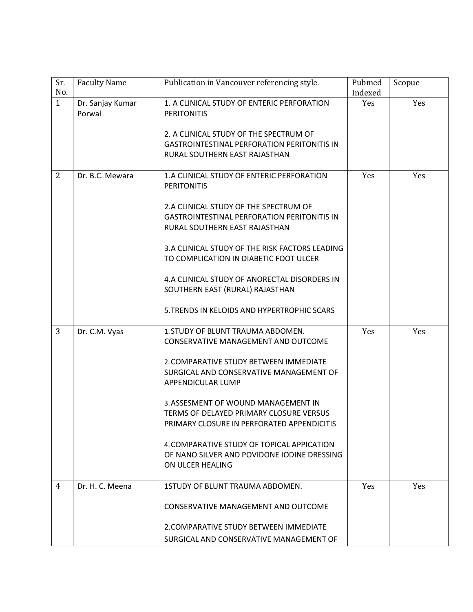| Sr.<br>No.     | <b>Faculty Name</b>        | Publication in Vancouver referencing style.                                                                                   | Pubmed<br>Indexed | Scopue |
|----------------|----------------------------|-------------------------------------------------------------------------------------------------------------------------------|-------------------|--------|
| $\mathbf{1}$   | Dr. Sanjay Kumar<br>Porwal | 1. A CLINICAL STUDY OF ENTERIC PERFORATION<br><b>PERITONITIS</b>                                                              | Yes               | Yes    |
|                |                            | 2. A CLINICAL STUDY OF THE SPECTRUM OF<br><b>GASTROINTESTINAL PERFORATION PERITONITIS IN</b><br>RURAL SOUTHERN EAST RAJASTHAN |                   |        |
| 2              | Dr. B.C. Mewara            | 1.A CLINICAL STUDY OF ENTERIC PERFORATION<br><b>PERITONITIS</b>                                                               | Yes               | Yes    |
|                |                            | 2.A CLINICAL STUDY OF THE SPECTRUM OF<br><b>GASTROINTESTINAL PERFORATION PERITONITIS IN</b><br>RURAL SOUTHERN EAST RAJASTHAN  |                   |        |
|                |                            | 3.A CLINICAL STUDY OF THE RISK FACTORS LEADING<br>TO COMPLICATION IN DIABETIC FOOT ULCER                                      |                   |        |
|                |                            | 4.A CLINICAL STUDY OF ANORECTAL DISORDERS IN<br>SOUTHERN EAST (RURAL) RAJASTHAN                                               |                   |        |
|                |                            | 5. TRENDS IN KELOIDS AND HYPERTROPHIC SCARS                                                                                   |                   |        |
| $\overline{3}$ | Dr. C.M. Vyas              | 1. STUDY OF BLUNT TRAUMA ABDOMEN.<br>CONSERVATIVE MANAGEMENT AND OUTCOME                                                      | Yes               | Yes    |
|                |                            | 2. COMPARATIVE STUDY BETWEEN IMMEDIATE<br>SURGICAL AND CONSERVATIVE MANAGEMENT OF<br>APPENDICULAR LUMP                        |                   |        |
|                |                            | 3. ASSESMENT OF WOUND MANAGEMENT IN<br>TERMS OF DELAYED PRIMARY CLOSURE VERSUS<br>PRIMARY CLOSURE IN PERFORATED APPENDICITIS  |                   |        |
|                |                            | 4. COMPARATIVE STUDY OF TOPICAL APPICATION<br>OF NANO SILVER AND POVIDONE IODINE DRESSING<br>ON ULCER HEALING                 |                   |        |
| 4              | Dr. H. C. Meena            | 1STUDY OF BLUNT TRAUMA ABDOMEN.                                                                                               | Yes               | Yes    |
|                |                            | CONSERVATIVE MANAGEMENT AND OUTCOME                                                                                           |                   |        |
|                |                            | 2. COMPARATIVE STUDY BETWEEN IMMEDIATE<br>SURGICAL AND CONSERVATIVE MANAGEMENT OF                                             |                   |        |